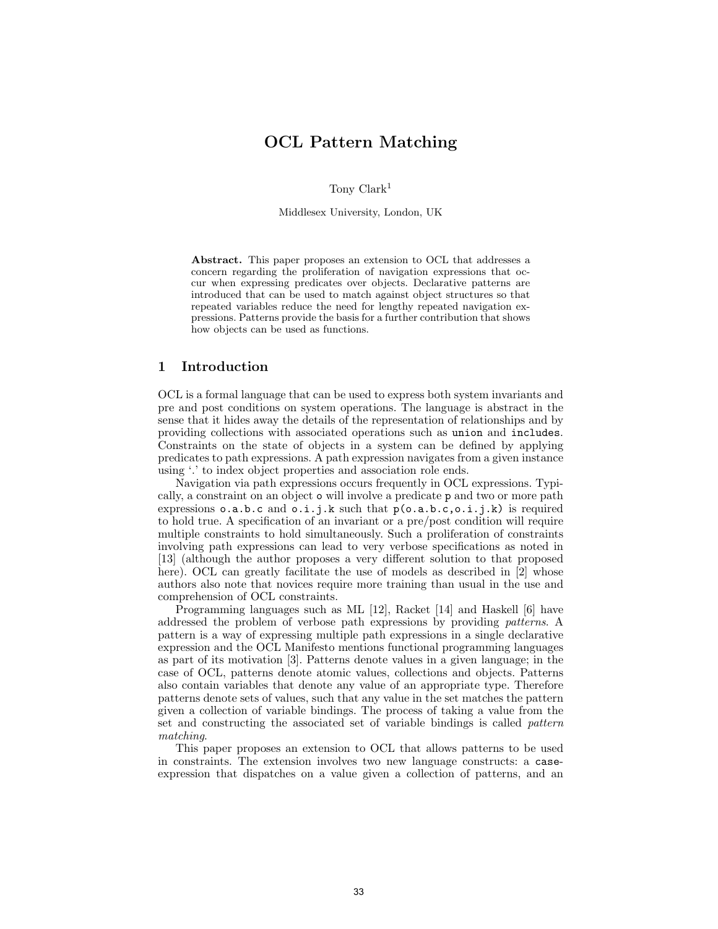# OCL Pattern Matching

Tony Clark<sup>1</sup>

Middlesex University, London, UK

Abstract. This paper proposes an extension to OCL that addresses a concern regarding the proliferation of navigation expressions that occur when expressing predicates over objects. Declarative patterns are introduced that can be used to match against object structures so that repeated variables reduce the need for lengthy repeated navigation expressions. Patterns provide the basis for a further contribution that shows how objects can be used as functions.

# 1 Introduction

OCL is a formal language that can be used to express both system invariants and pre and post conditions on system operations. The language is abstract in the sense that it hides away the details of the representation of relationships and by providing collections with associated operations such as union and includes. Constraints on the state of objects in a system can be defined by applying predicates to path expressions. A path expression navigates from a given instance using '.' to index object properties and association role ends.

Navigation via path expressions occurs frequently in OCL expressions. Typically, a constraint on an object o will involve a predicate p and two or more path expressions o.a.b.c and o.i.j.k such that p(o.a.b.c,o.i.j.k) is required to hold true. A specification of an invariant or a pre/post condition will require multiple constraints to hold simultaneously. Such a proliferation of constraints involving path expressions can lead to very verbose specifications as noted in [13] (although the author proposes a very different solution to that proposed here). OCL can greatly facilitate the use of models as described in [2] whose authors also note that novices require more training than usual in the use and comprehension of OCL constraints.

Programming languages such as ML [12], Racket [14] and Haskell [6] have addressed the problem of verbose path expressions by providing patterns. A pattern is a way of expressing multiple path expressions in a single declarative expression and the OCL Manifesto mentions functional programming languages as part of its motivation [3]. Patterns denote values in a given language; in the case of OCL, patterns denote atomic values, collections and objects. Patterns also contain variables that denote any value of an appropriate type. Therefore patterns denote sets of values, such that any value in the set matches the pattern given a collection of variable bindings. The process of taking a value from the set and constructing the associated set of variable bindings is called pattern matching.

This paper proposes an extension to OCL that allows patterns to be used in constraints. The extension involves two new language constructs: a caseexpression that dispatches on a value given a collection of patterns, and an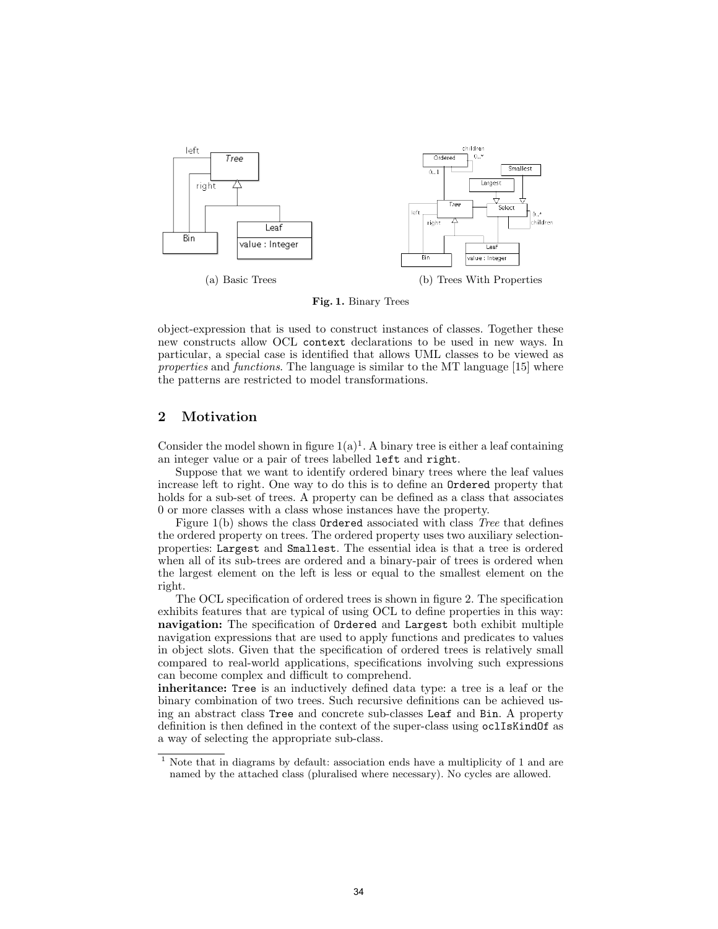

Fig. 1. Binary Trees

object-expression that is used to construct instances of classes. Together these new constructs allow OCL context declarations to be used in new ways. In particular, a special case is identified that allows UML classes to be viewed as properties and functions. The language is similar to the MT language [15] where the patterns are restricted to model transformations.

# 2 Motivation

Consider the model shown in figure  $1(a)^1$ . A binary tree is either a leaf containing an integer value or a pair of trees labelled left and right.

Suppose that we want to identify ordered binary trees where the leaf values increase left to right. One way to do this is to define an Ordered property that holds for a sub-set of trees. A property can be defined as a class that associates 0 or more classes with a class whose instances have the property.

Figure 1(b) shows the class Ordered associated with class Tree that defines the ordered property on trees. The ordered property uses two auxiliary selectionproperties: Largest and Smallest. The essential idea is that a tree is ordered when all of its sub-trees are ordered and a binary-pair of trees is ordered when the largest element on the left is less or equal to the smallest element on the right.

The OCL specification of ordered trees is shown in figure 2. The specification exhibits features that are typical of using OCL to define properties in this way: navigation: The specification of Ordered and Largest both exhibit multiple navigation expressions that are used to apply functions and predicates to values in object slots. Given that the specification of ordered trees is relatively small compared to real-world applications, specifications involving such expressions can become complex and difficult to comprehend.

inheritance: Tree is an inductively defined data type: a tree is a leaf or the binary combination of two trees. Such recursive definitions can be achieved using an abstract class Tree and concrete sub-classes Leaf and Bin. A property definition is then defined in the context of the super-class using oclIsKindOf as a way of selecting the appropriate sub-class.

<sup>1</sup> Note that in diagrams by default: association ends have a multiplicity of 1 and are named by the attached class (pluralised where necessary). No cycles are allowed.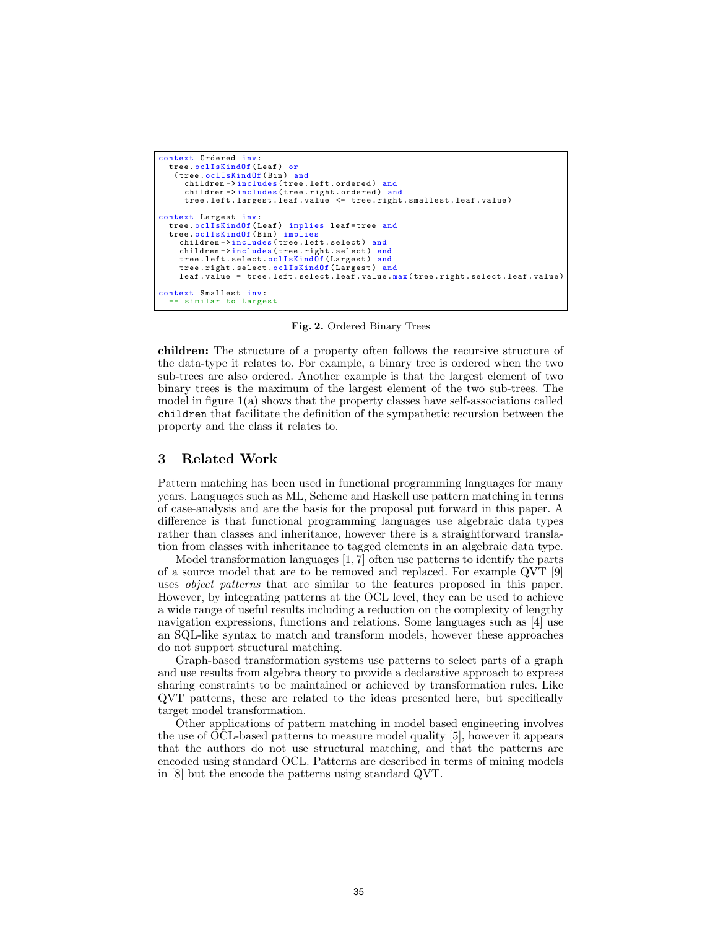```
context Ordered inv :
  tree.oclIsKindOf (Leaf) or
   (tree.oclIsKindOf(Bin) and
     children->includes (tree.left.ordered) and
     children -> includes (tree.right.ordered) and
     tree . left . largest . leaf . value <= tree . right . smallest . leaf . value )
context Largest inv :
  tree.oclIsKindOf (Leaf) implies leaf=tree and
  tree.oclIsKindOf (Bin) implies
    children->includes (tree.left.select) and
    children ->includes (tree.right.select) and<br>tree.left.select.oclIsKind0f (Largest) and
    tree.left.select.oclIsKindOf (Largest)
    tree . right . select . oclIsKindOf ( Largest ) and
    leaf . value = tree.left.select.leaf.value.max(tree.right.select.leaf.value)
context Smallest inv :
  -- similar to Largest
```
Fig. 2. Ordered Binary Trees

children: The structure of a property often follows the recursive structure of the data-type it relates to. For example, a binary tree is ordered when the two sub-trees are also ordered. Another example is that the largest element of two binary trees is the maximum of the largest element of the two sub-trees. The model in figure  $1(a)$  shows that the property classes have self-associations called children that facilitate the definition of the sympathetic recursion between the property and the class it relates to.

### 3 Related Work

Pattern matching has been used in functional programming languages for many years. Languages such as ML, Scheme and Haskell use pattern matching in terms of case-analysis and are the basis for the proposal put forward in this paper. A difference is that functional programming languages use algebraic data types rather than classes and inheritance, however there is a straightforward translation from classes with inheritance to tagged elements in an algebraic data type.

Model transformation languages [1, 7] often use patterns to identify the parts of a source model that are to be removed and replaced. For example QVT [9] uses *object patterns* that are similar to the features proposed in this paper. However, by integrating patterns at the OCL level, they can be used to achieve a wide range of useful results including a reduction on the complexity of lengthy navigation expressions, functions and relations. Some languages such as [4] use an SQL-like syntax to match and transform models, however these approaches do not support structural matching.

Graph-based transformation systems use patterns to select parts of a graph and use results from algebra theory to provide a declarative approach to express sharing constraints to be maintained or achieved by transformation rules. Like QVT patterns, these are related to the ideas presented here, but specifically target model transformation.

Other applications of pattern matching in model based engineering involves the use of OCL-based patterns to measure model quality [5], however it appears that the authors do not use structural matching, and that the patterns are encoded using standard OCL. Patterns are described in terms of mining models in [8] but the encode the patterns using standard QVT.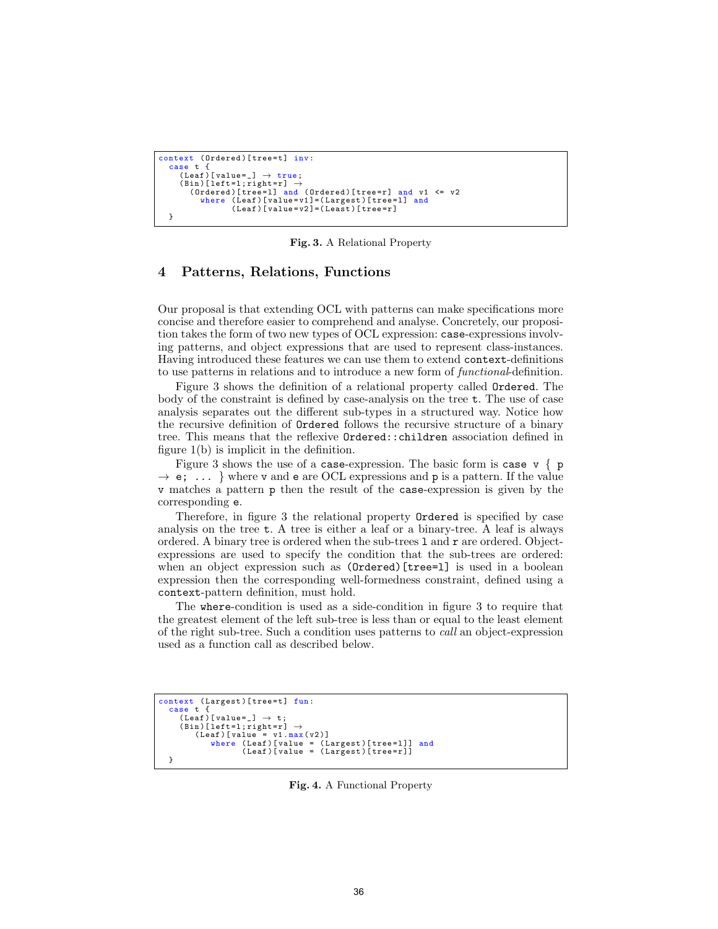```
context (Ordered)[tree=t] inv:
   case t {<br>(Leaf)[value=_] \rightarrow true;
      (Bin)[left=l;right=r] \rightarrow(Ordered)[tree=1] and (Ordered)[tree=r] and v1 <= v2
            where ( Leaf )[ value = v1 ]=( Largest )[ tree =l] and
( Leaf )[ value = v2 ]=( Least )[ tree = r]
  }
```
Fig. 3. A Relational Property

#### 4 Patterns, Relations, Functions

Our proposal is that extending OCL with patterns can make specifications more concise and therefore easier to comprehend and analyse. Concretely, our proposition takes the form of two new types of OCL expression: case-expressions involving patterns, and object expressions that are used to represent class-instances. Having introduced these features we can use them to extend context-definitions to use patterns in relations and to introduce a new form of functional-definition.

Figure 3 shows the definition of a relational property called Ordered. The body of the constraint is defined by case-analysis on the tree t. The use of case analysis separates out the different sub-types in a structured way. Notice how the recursive definition of Ordered follows the recursive structure of a binary tree. This means that the reflexive Ordered::children association defined in figure 1(b) is implicit in the definition.

Figure 3 shows the use of a case-expression. The basic form is case  $v \{ p \}$  $\rightarrow$  e; ... } where v and e are OCL expressions and p is a pattern. If the value v matches a pattern p then the result of the case-expression is given by the corresponding e.

Therefore, in figure 3 the relational property Ordered is specified by case analysis on the tree t. A tree is either a leaf or a binary-tree. A leaf is always ordered. A binary tree is ordered when the sub-trees  $1$  and  $r$  are ordered. Objectexpressions are used to specify the condition that the sub-trees are ordered: when an object expression such as (Ordered)[tree=1] is used in a boolean expression then the corresponding well-formedness constraint, defined using a context-pattern definition, must hold.

The where-condition is used as a side-condition in figure 3 to require that the greatest element of the left sub-tree is less than or equal to the least element of the right sub-tree. Such a condition uses patterns to call an object-expression used as a function call as described below.

```
context (Largest)[tree=t] fun:
  case t {
       (Lear)[value=_] \rightarrow t;
       (Bin)[left=1;right=r] \rightarrow<br>(Leaf)[value = v1.max(v2)]
                 where ( Leaf )[ value = ( Largest )[ tree =l ]] and
( Leaf )[ value = ( Largest )[ tree =r ]]
  }
```
Fig. 4. A Functional Property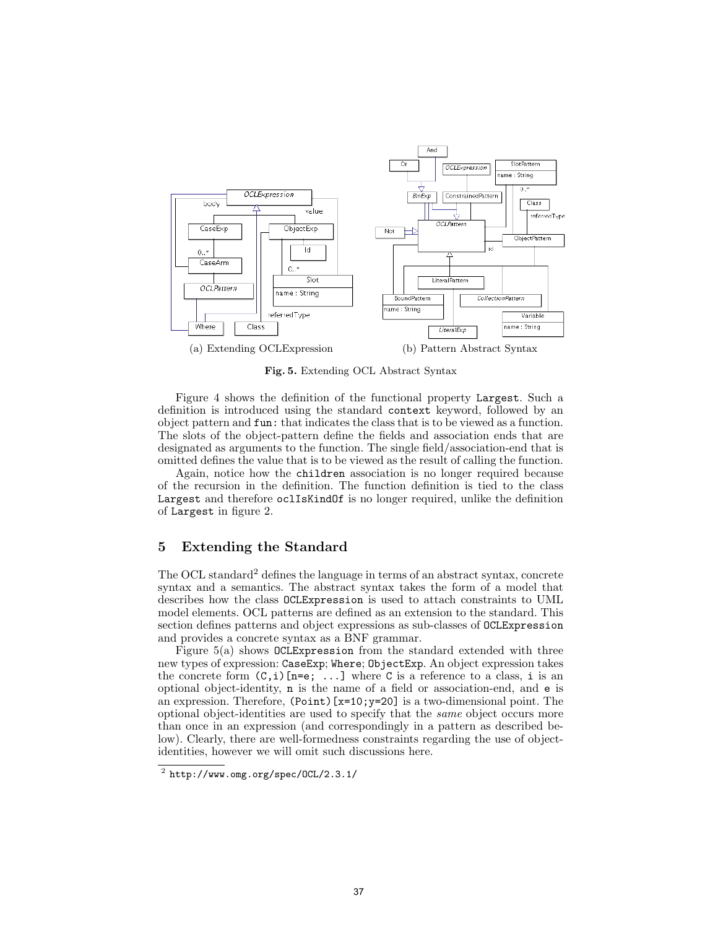

Fig. 5. Extending OCL Abstract Syntax

Figure 4 shows the definition of the functional property Largest. Such a definition is introduced using the standard context keyword, followed by an object pattern and fun: that indicates the class that is to be viewed as a function. The slots of the object-pattern define the fields and association ends that are designated as arguments to the function. The single field/association-end that is omitted defines the value that is to be viewed as the result of calling the function.

Again, notice how the children association is no longer required because of the recursion in the definition. The function definition is tied to the class Largest and therefore oclIsKindOf is no longer required, unlike the definition of Largest in figure 2.

## 5 Extending the Standard

The OCL standard<sup>2</sup> defines the language in terms of an abstract syntax, concrete syntax and a semantics. The abstract syntax takes the form of a model that describes how the class OCLExpression is used to attach constraints to UML model elements. OCL patterns are defined as an extension to the standard. This section defines patterns and object expressions as sub-classes of OCLExpression and provides a concrete syntax as a BNF grammar.

Figure 5(a) shows OCLExpression from the standard extended with three new types of expression: CaseExp; Where; ObjectExp. An object expression takes the concrete form  $(C, i)$  [n=e; ...] where C is a reference to a class, i is an optional object-identity, n is the name of a field or association-end, and e is an expression. Therefore, (Point)[x=10;y=20] is a two-dimensional point. The optional object-identities are used to specify that the same object occurs more than once in an expression (and correspondingly in a pattern as described below). Clearly, there are well-formedness constraints regarding the use of objectidentities, however we will omit such discussions here.

 $^2$  http://www.omg.org/spec/OCL/2.3.1/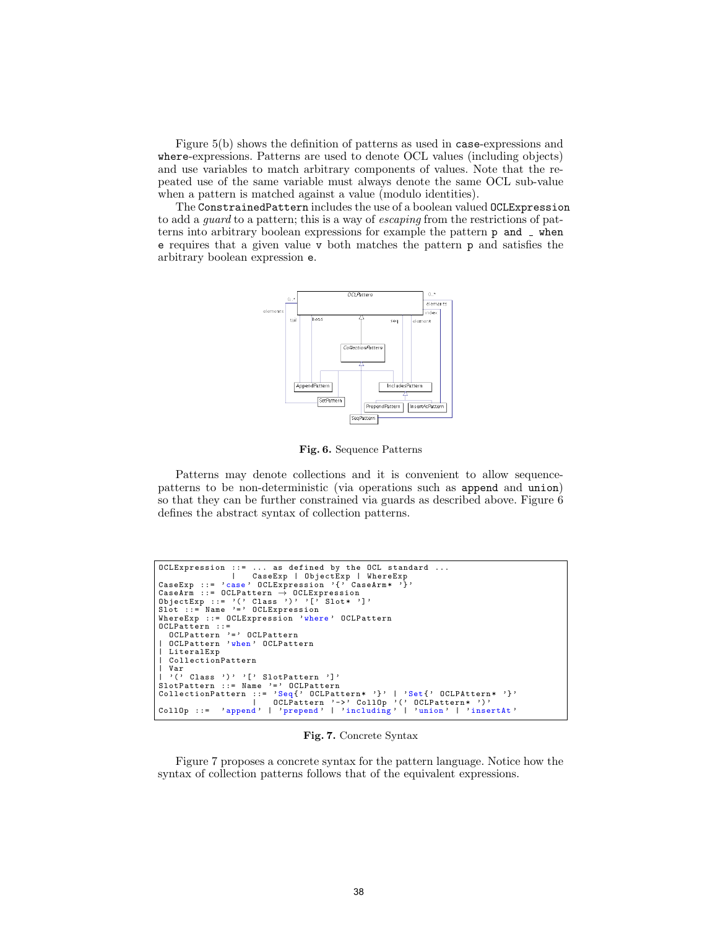Figure 5(b) shows the definition of patterns as used in case-expressions and where-expressions. Patterns are used to denote OCL values (including objects) and use variables to match arbitrary components of values. Note that the repeated use of the same variable must always denote the same OCL sub-value when a pattern is matched against a value (modulo identities).

The ConstrainedPattern includes the use of a boolean valued OCLExpression to add a guard to a pattern; this is a way of escaping from the restrictions of patterns into arbitrary boolean expressions for example the pattern  $p$  and  $\overline{\phantom{a}}$  when e requires that a given value v both matches the pattern p and satisfies the arbitrary boolean expression e.



Fig. 6. Sequence Patterns

Patterns may denote collections and it is convenient to allow sequencepatterns to be non-deterministic (via operations such as append and union) so that they can be further constrained via guards as described above. Figure 6 defines the abstract syntax of collection patterns.

```
OCLExpression ::= ... as defined by the OCL standard ...
| CaseExp | ObjectExp | WhereExp
CaseExp ::= 'case ' OCLExpression '{' CaseArm * '}'
CaseArm ::= OCLPattern → OCLExpression<br>ObjectExp ::= '(' Class ')' '[' Slot* ']'<br>Slot ::= Name '=' OCLExpression
WhereExp ::= OCLExpression 'where ' OCLPattern
OCLPattern ::=
OCLPattern '=' OCLPattern<br>| OCLPattern 'when' OCLPattern
| LiteralExp
| CollectionPattern
| Var<br>| '(' Class ')' '[' SlotPattern ']'<br>SlotPattern ::= Name '=' OCLPattern<br>CollectionPattern ::= 'Seq{' OCLPattern* '}' | 'Set{' OCLPAttern* '}'<br>| OCLPattern '->' CollOp '(' OCLPattern* ')'<br>CollOp ::= 'append' | 'prepen
```
Fig. 7. Concrete Syntax

Figure 7 proposes a concrete syntax for the pattern language. Notice how the syntax of collection patterns follows that of the equivalent expressions.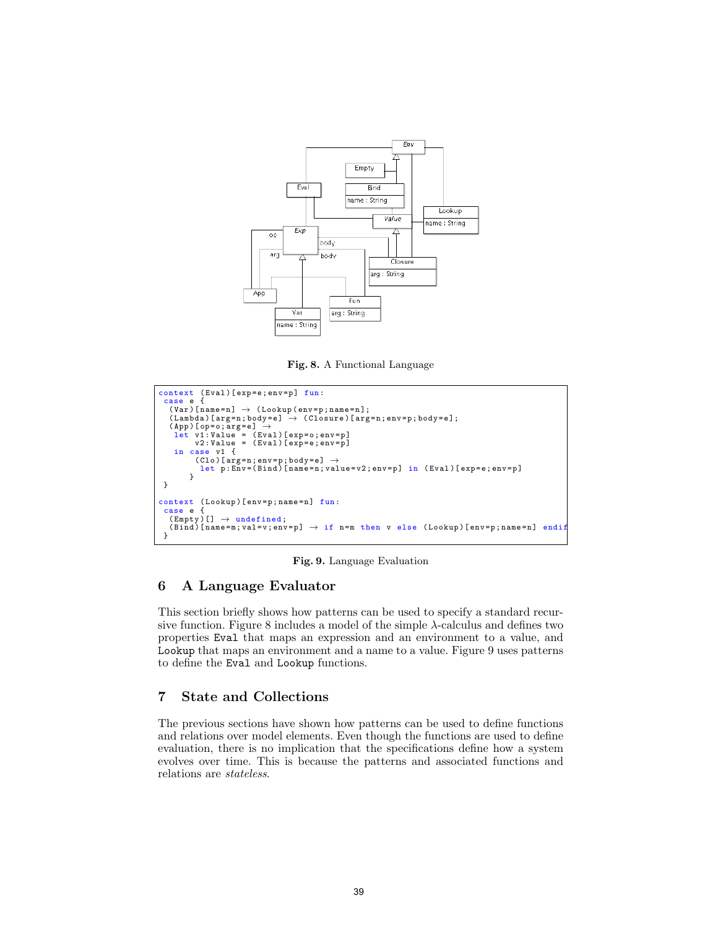

Fig. 8. A Functional Language

```
context (Eval)[exp=e;env=p] fun:
 case e {
   (Var)[name=n] → (Lookup(env=p;name=n];<br>(Lambda)[arg=n;body=e] → (Closure)[arg=n;env=p;body=e];
   (App) [op=o; arg =e] \rightarrow<br>
let v1:Value = (Eval)[exp=o;env=p]<br>
v2:Value = (Eval)[exp=e;env=p]
    in case v1 {
           (Clo)[arg=n;env=p;body=e] →<br>let p:Env=(Bind)[name=n;value=v2;env=p] in (Eval)[exp=e;env=p]
         }
 }
context (Lookup)[env=p;name=n] fun:
 case e {
   (Empty)[] → undefined;<br>(Bind)[name=m;val=v;env=p] → if n=m then v else (Lookup)[env=p;name=n] endif
 }
```
Fig. 9. Language Evaluation

## 6 A Language Evaluator

This section briefly shows how patterns can be used to specify a standard recursive function. Figure 8 includes a model of the simple  $\lambda$ -calculus and defines two properties Eval that maps an expression and an environment to a value, and Lookup that maps an environment and a name to a value. Figure 9 uses patterns to define the Eval and Lookup functions.

# 7 State and Collections

The previous sections have shown how patterns can be used to define functions and relations over model elements. Even though the functions are used to define evaluation, there is no implication that the specifications define how a system evolves over time. This is because the patterns and associated functions and relations are stateless.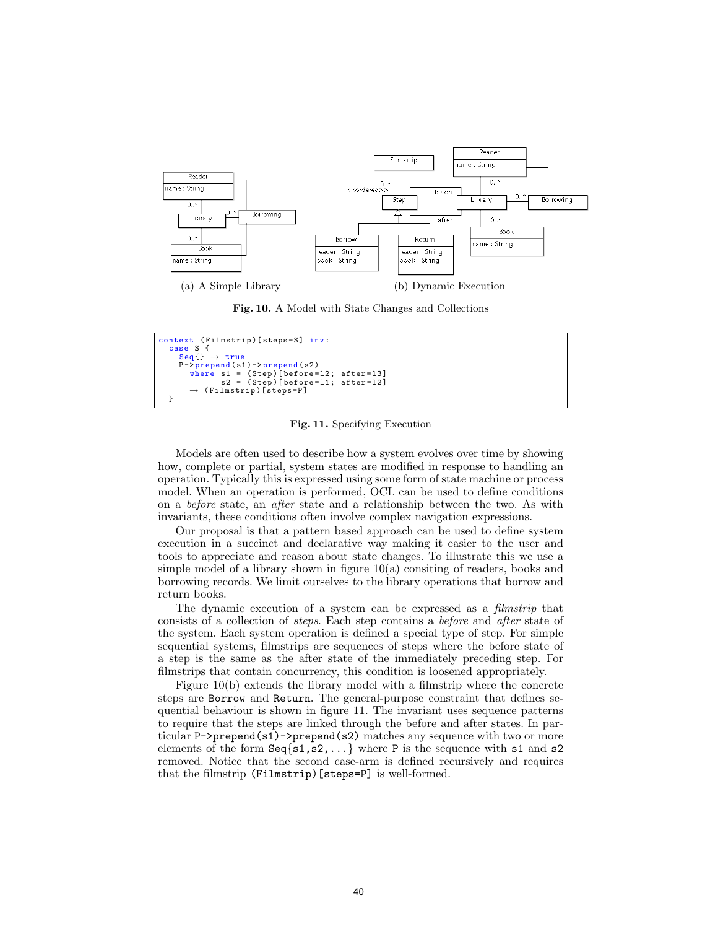

Fig. 10. A Model with State Changes and Collections



Fig. 11. Specifying Execution

Models are often used to describe how a system evolves over time by showing how, complete or partial, system states are modified in response to handling an operation. Typically this is expressed using some form of state machine or process model. When an operation is performed, OCL can be used to define conditions on a before state, an after state and a relationship between the two. As with invariants, these conditions often involve complex navigation expressions.

Our proposal is that a pattern based approach can be used to define system execution in a succinct and declarative way making it easier to the user and tools to appreciate and reason about state changes. To illustrate this we use a simple model of a library shown in figure 10(a) consiting of readers, books and borrowing records. We limit ourselves to the library operations that borrow and return books.

The dynamic execution of a system can be expressed as a *filmstrip* that consists of a collection of steps. Each step contains a before and after state of the system. Each system operation is defined a special type of step. For simple sequential systems, filmstrips are sequences of steps where the before state of a step is the same as the after state of the immediately preceding step. For filmstrips that contain concurrency, this condition is loosened appropriately.

Figure 10(b) extends the library model with a filmstrip where the concrete steps are Borrow and Return. The general-purpose constraint that defines sequential behaviour is shown in figure 11. The invariant uses sequence patterns to require that the steps are linked through the before and after states. In particular P->prepend(s1)->prepend(s2) matches any sequence with two or more elements of the form  $Seq\{s1, s2, \ldots\}$  where P is the sequence with s1 and s2 removed. Notice that the second case-arm is defined recursively and requires that the filmstrip (Filmstrip)[steps=P] is well-formed.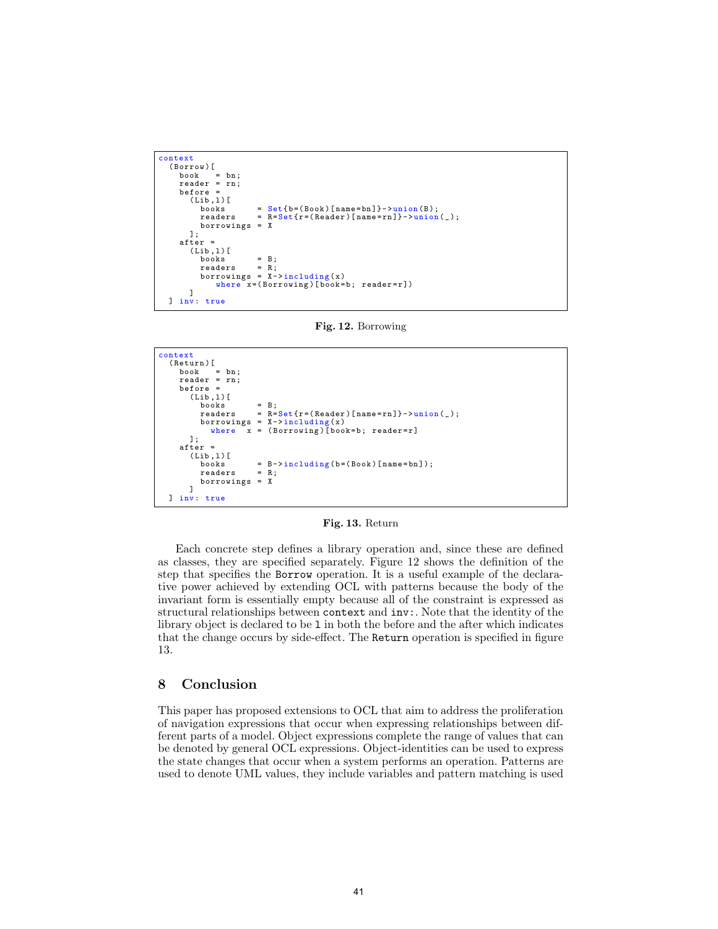```
context
   ( Borrow )[
       book = bn ;
reader = rn ;
before =
          (Lib,1)[<br>books
             books = Set{b = (Book) [name = bh]} - \text{union}(B);<br>readers = R = Set{r = (Reader) [name = rn]} - \text{union}r = R = Set\{r = (Reader) [name = rn]\} - \sum\{0, 0 \}borrowings = X
         ];
      after =
          (Lib,1) [<br>books
              books = B ;
readers = R;
borrowings = X -> including (x)
                  where x = (Borrowing) [book=b; reader=r])]
  ] inv: true
```
Fig. 12. Borrowing

```
context
   ( Return )[
book = bn ;
      reader = rn ;
     before =
         (Lib,1)[books = B;<br>readers = R=
                             r = R = Set{r = (Reader) [name = rn]} - \nu \min(n \n);
            borrowings = X->including(x)<br>where x = (Borrowing)[book=b; reader=r]
        ];
      after =
         (Lib, 1)[<br>books
                             B - \frac{\sin \cosh \theta}{\cosh \theta} (b = (Book) [name = bn]);
           readers = R<br>borrowings = Xborrowings
         ]
  ] inv: true
```
Fig. 13. Return

Each concrete step defines a library operation and, since these are defined as classes, they are specified separately. Figure 12 shows the definition of the step that specifies the Borrow operation. It is a useful example of the declarative power achieved by extending OCL with patterns because the body of the invariant form is essentially empty because all of the constraint is expressed as structural relationships between context and inv:. Note that the identity of the library object is declared to be l in both the before and the after which indicates that the change occurs by side-effect. The Return operation is specified in figure 13.

#### 8 Conclusion

This paper has proposed extensions to OCL that aim to address the proliferation of navigation expressions that occur when expressing relationships between different parts of a model. Object expressions complete the range of values that can be denoted by general OCL expressions. Object-identities can be used to express the state changes that occur when a system performs an operation. Patterns are used to denote UML values, they include variables and pattern matching is used